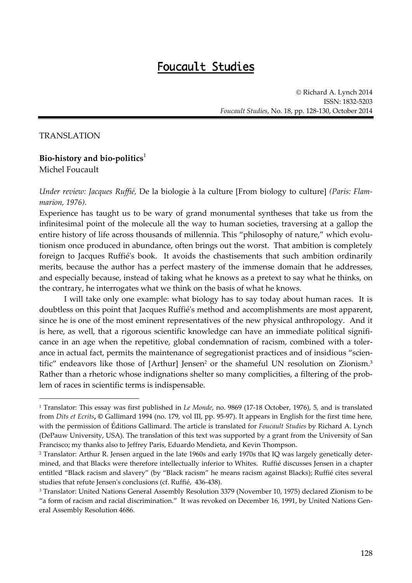## Foucault Studies

© Richard A. Lynch 2014 ISSN: 1832‐5203 *Foucault Studies*, No. 18, pp. 128‐130, October 2014

## TRANSLATION

 $\overline{a}$ 

## **Bio‐history and bio‐politics**<sup>1</sup> Michel Foucault

*Under review: Jacques Ruffié,* De la biologie à la culture [From biology to culture] *(Paris: Flam‐ marion, 1976).*

Experience has taught us to be wary of grand monumental syntheses that take us from the infinitesimal point of the molecule all the way to human societies, traversing at a gallop the entire history of life across thousands of millennia. This "philosophy of nature," which evolutionism once produced in abundance, often brings out the worst. That ambition is completely foreign to Jacques Ruffiéʹs book. It avoids the chastisements that such ambition ordinarily merits, because the author has a perfect mastery of the immense domain that he addresses, and especially because, instead of taking what he knows as a pretext to say what he thinks, on the contrary, he interrogates what we think on the basis of what he knows.

I will take only one example: what biology has to say today about human races. It is doubtless on this point that Jacques Ruffiéʹs method and accomplishments are most apparent, since he is one of the most eminent representatives of the new physical anthropology. And it is here, as well, that a rigorous scientific knowledge can have an immediate political significance in an age when the repetitive, global condemnation of racism, combined with a tolerance in actual fact, permits the maintenance of segregationist practices and of insidious "scientific" endeavors like those of [Arthur] Jensen<sup>2</sup> or the shameful UN resolution on Zionism.<sup>3</sup> Rather than a rhetoric whose indignations shelter so many complicities, a filtering of the problem of races in scientific terms is indispensable.

<sup>1</sup> Translator: This essay was first published in *Le Monde*, no. 9869 (17‐18 October, 1976), 5, and is translated from *Dits et Ecrits***, ©** Gallimard 1994 (no. 179, vol III, pp. 95‐97). It appears in English for the first time here, with the permission of Éditions Gallimard. The article is translated for *Foucault Studies* by Richard A. Lynch (DePauw University, USA). The translation of this text was supported by a grant from the University of San Francisco; my thanks also to Jeffrey Paris, Eduardo Mendieta, and Kevin Thompson.

<sup>2</sup> Translator: Arthur R. Jensen argued in the late 1960s and early 1970s that IQ was largely genetically deter‐ mined, and that Blacks were therefore intellectually inferior to Whites. Ruffié discusses Jensen in a chapter entitled "Black racism and slavery" (by "Black racism" he means racism against Blacks); Ruffié cites several studies that refute Jensenʹs conclusions (cf. Ruffié, 436‐438).

<sup>3</sup> Translator: United Nations General Assembly Resolution 3379 (November 10, 1975) declared Zionism to be "a form of racism and racial discrimination." It was revoked on December 16, 1991, by United Nations General Assembly Resolution 4686.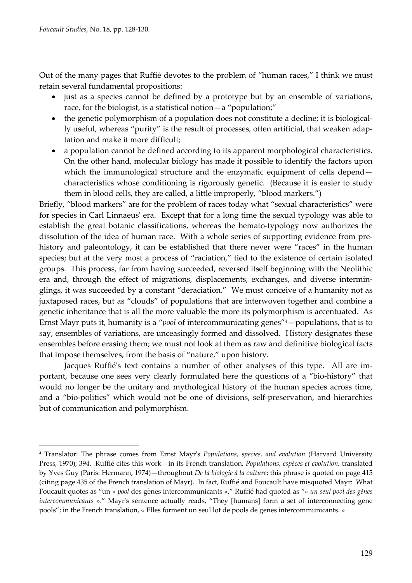$\overline{a}$ 

Out of the many pages that Ruffié devotes to the problem of "human races," I think we must retain several fundamental propositions:

- just as a species cannot be defined by a prototype but by an ensemble of variations, race, for the biologist, is a statistical notion—a "population;"
- the genetic polymorphism of a population does not constitute a decline; it is biologically useful, whereas "purity" is the result of processes, often artificial, that weaken adaptation and make it more difficult;
- a population cannot be defined according to its apparent morphological characteristics. On the other hand, molecular biology has made it possible to identify the factors upon which the immunological structure and the enzymatic equipment of cells depend characteristics whose conditioning is rigorously genetic. (Because it is easier to study them in blood cells, they are called, a little improperly, "blood markers.")

Briefly, "blood markers" are for the problem of races today what "sexual characteristics" were for species in Carl Linnaeusʹ era. Except that for a long time the sexual typology was able to establish the great botanic classifications, whereas the hemato-typology now authorizes the dissolution of the idea of human race. With a whole series of supporting evidence from prehistory and paleontology, it can be established that there never were "races" in the human species; but at the very most a process of "raciation," tied to the existence of certain isolated groups. This process, far from having succeeded, reversed itself beginning with the Neolithic era and, through the effect of migrations, displacements, exchanges, and diverse interminglings, it was succeeded by a constant "deraciation." We must conceive of a humanity not as juxtaposed races, but as "clouds" of populations that are interwoven together and combine a genetic inheritance that is all the more valuable the more its polymorphism is accentuated. As Ernst Mayr puts it, humanity is a "*pool* of intercommunicating genes"4—populations, that is to say, ensembles of variations, are unceasingly formed and dissolved. History designates these ensembles before erasing them; we must not look at them as raw and definitive biological facts that impose themselves, from the basis of "nature," upon history.

Jacques Ruffié's text contains a number of other analyses of this type. All are important, because one sees very clearly formulated here the questions of a "bio‐history" that would no longer be the unitary and mythological history of the human species across time, and a "bio‐politics" which would not be one of divisions, self‐preservation, and hierarchies but of communication and polymorphism.

<sup>4</sup> Translator: The phrase comes from Ernst Mayrʹs *Populations, species, and evolution* (Harvard University Press, 1970), 394. Ruffié cites this work—in its French translation, *Populations, espèces et evolution,* translated by Yves Guy (Paris: Hermann, 1974)—throughout *De la biologie à la culture*; this phrase is quoted on page 415 (citing page 435 of the French translation of Mayr). In fact, Ruffié and Foucault have misquoted Mayr: What Foucault quotes as "un « *pool* des gènes intercommunicants »," Ruffié had quoted as "« *un seul pool des gènes intercommunicants* »." Mayr's sentence actually reads, "They [humans] form a set of interconnecting gene pools"; in the French translation, « Elles forment un seul lot de pools de genes intercommunicants. »